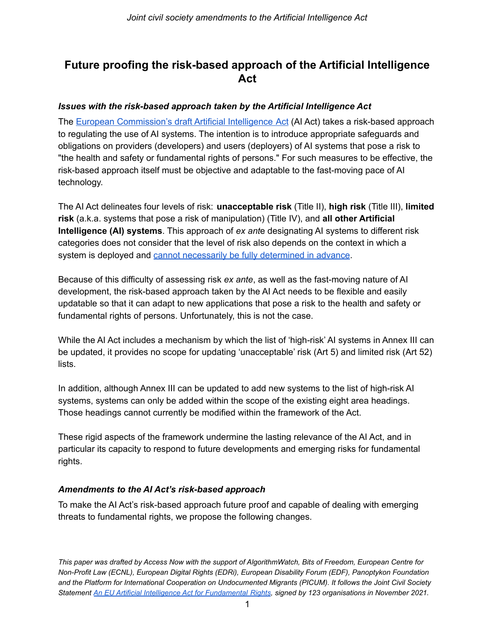## **Future proofing the risk-based approach of the Artificial Intelligence Act**

## *Issues with the risk-based approach taken by the Artificial Intelligence Act*

The European [Commission's](https://eur-lex.europa.eu/legal-content/EN/TXT/?uri=CELEX%3A52021PC0206) draft Artificial Intelligence Act (AI Act) takes a risk-based approach to regulating the use of AI systems. The intention is to introduce appropriate safeguards and obligations on providers (developers) and users (deployers) of AI systems that pose a risk to "the health and safety or fundamental rights of persons." For such measures to be effective, the risk-based approach itself must be objective and adaptable to the fast-moving pace of AI technology.

The AI Act delineates four levels of risk: **unacceptable risk** (Title II), **high risk** (Title III), **limited risk** (a.k.a. systems that pose a risk of manipulation) (Title IV), and **all other Artificial Intelligence (AI) systems**. This approach of *ex ant*e designating AI systems to different risk categories does not consider that the level of risk also depends on the context in which a system is deployed and cannot necessarily be fully [determined](https://www.accessnow.org/eu-regulation-ai-risk-based-approach/) in advance.

Because of this difficulty of assessing risk *ex ante*, as well as the fast-moving nature of AI development, the risk-based approach taken by the AI Act needs to be flexible and easily updatable so that it can adapt to new applications that pose a risk to the health and safety or fundamental rights of persons. Unfortunately, this is not the case.

While the AI Act includes a mechanism by which the list of 'high-risk' AI systems in Annex III can be updated, it provides no scope for updating 'unacceptable' risk (Art 5) and limited risk (Art 52) lists.

In addition, although Annex III can be updated to add new systems to the list of high-risk AI systems, systems can only be added within the scope of the existing eight area headings. Those headings cannot currently be modified within the framework of the Act.

These rigid aspects of the framework undermine the lasting relevance of the AI Act, and in particular its capacity to respond to future developments and emerging risks for fundamental rights.

## *Amendments to the AI Act's risk-based approach*

To make the AI Act's risk-based approach future proof and capable of dealing with emerging threats to fundamental rights, we propose the following changes.

*This paper was drafted by Access Now with the support of AlgorithmWatch, Bits of Freedom, European Centre for Non-Profit Law (ECNL), European Digital Rights (EDRi), European Disability Forum (EDF), Panoptykon Foundation and the Platform for International Cooperation on Undocumented Migrants (PICUM). It follows the Joint Civil Society Statement [An EU Artificial Intelligence Act for Fundamental](https://www.accessnow.org/cms/assets/uploads/2021/11/joint-statement-EU-AIA.pdf) Rights, signed by 123 organisations in November 2021.*